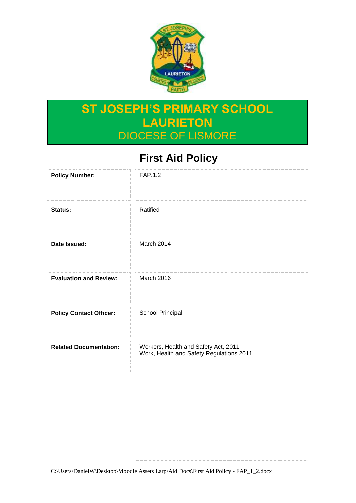

## **ST JOSEPH'S PRIMARY SCHOOL LAURIETON** DIOCESE OF LISMORE

| <b>First Aid Policy</b>        |                                                                                   |
|--------------------------------|-----------------------------------------------------------------------------------|
| <b>Policy Number:</b>          | FAP.1.2                                                                           |
| Status:                        | Ratified                                                                          |
| Date Issued:                   | March 2014                                                                        |
| <b>Evaluation and Review:</b>  | March 2016                                                                        |
| <b>Policy Contact Officer:</b> | School Principal                                                                  |
| <b>Related Documentation:</b>  | Workers, Health and Safety Act, 2011<br>Work, Health and Safety Regulations 2011. |
|                                |                                                                                   |
|                                |                                                                                   |
|                                |                                                                                   |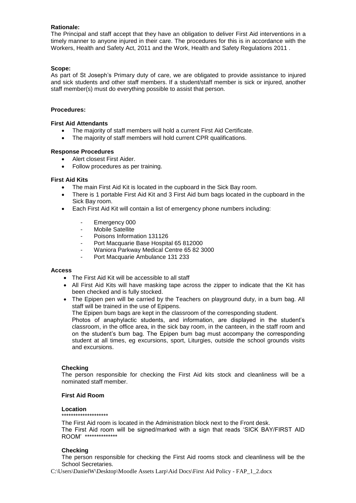#### **Rationale:**

The Principal and staff accept that they have an obligation to deliver First Aid interventions in a timely manner to anyone injured in their care. The procedures for this is in accordance with the Workers, Health and Safety Act, 2011 and the Work, Health and Safety Regulations 2011 .

#### **Scope:**

As part of St Joseph's Primary duty of care, we are obligated to provide assistance to injured and sick students and other staff members. If a student/staff member is sick or injured, another staff member(s) must do everything possible to assist that person.

#### **Procedures:**

#### **First Aid Attendants**

- The majority of staff members will hold a current First Aid Certificate.
- The majority of staff members will hold current CPR qualifications.

#### **Response Procedures**

- Alert closest First Aider.
- Follow procedures as per training.

#### **First Aid Kits**

- The main First Aid Kit is located in the cupboard in the Sick Bay room.
- There is 1 portable First Aid Kit and 3 First Aid bum bags located in the cupboard in the Sick Bay room.
- Each First Aid Kit will contain a list of emergency phone numbers including:
	- Emergency 000
	- Mobile Satellite
	- Poisons Information 131126
	- Port Macquarie Base Hospital 65 812000
	- Waniora Parkway Medical Centre 65 82 3000
	- Port Macquarie Ambulance 131 233

#### **Access**

- The First Aid Kit will be accessible to all staff
- All First Aid Kits will have masking tape across the zipper to indicate that the Kit has been checked and is fully stocked.
- The Epipen pen will be carried by the Teachers on playground duty, in a bum bag. All staff will be trained in the use of Epipens.

The Epipen bum bags are kept in the classroom of the corresponding student.

Photos of anaphylactic students, and information, are displayed in the student's classroom, in the office area, in the sick bay room, in the canteen, in the staff room and on the student's bum bag. The Epipen bum bag must accompany the corresponding student at all times, eg excursions, sport, Liturgies, outside the school grounds visits and excursions.

#### **Checking**

The person responsible for checking the First Aid kits stock and cleanliness will be a nominated staff member.

#### **First Aid Room**

#### **Location**

### \*\*\*\*\*\*\*\*\*\*\*\*\*\*\*\*\*\*\*\*

The First Aid room is located in the Administration block next to the Front desk. The First Aid room will be signed/marked with a sign that reads 'SICK BAY/FIRST AID ROOM' \*\*\*\*\*\*\*\*\*\*\*\*\*\*

#### **Checking**

The person responsible for checking the First Aid rooms stock and cleanliness will be the School Secretaries.

C:\Users\DanielW\Desktop\Moodle Assets Larp\Aid Docs\First Aid Policy - FAP\_1\_2.docx